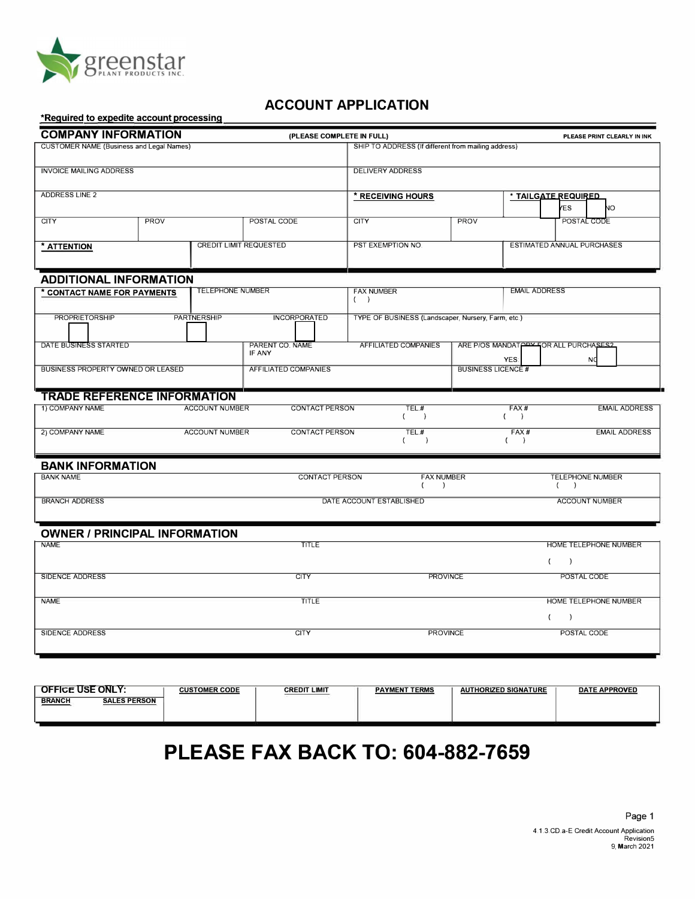

## **ACCOUNT APPLICATION**

#### **\*Required to expedite account processing**

| <b>COMPANY INFORMATION</b>                                                 |             |                                                               | (PLEASE COMPLETE IN FULL)                         |                                                              | PLEASE PRINT CLEARLY IN INK             |                                                               |  |  |  |  |
|----------------------------------------------------------------------------|-------------|---------------------------------------------------------------|---------------------------------------------------|--------------------------------------------------------------|-----------------------------------------|---------------------------------------------------------------|--|--|--|--|
| <b>CUSTOMER NAME (Business and Legal Names)</b>                            |             |                                                               |                                                   | SHIP TO ADDRESS (If different from mailing address)          |                                         |                                                               |  |  |  |  |
| <b>INVOICE MAILING ADDRESS</b>                                             |             |                                                               |                                                   | <b>DELIVERY ADDRESS</b>                                      |                                         |                                                               |  |  |  |  |
| <b>ADDRESS LINE 2</b>                                                      |             |                                                               |                                                   | * TAILGATE REQUIRED<br>* RECEIVING HOURS<br><b>YES</b><br>NО |                                         |                                                               |  |  |  |  |
| <b>CITY</b>                                                                | <b>PROV</b> |                                                               | POSTAL CODE                                       | <b>CITY</b><br><b>PROV</b>                                   |                                         | POSTAL CODE                                                   |  |  |  |  |
| <b>CREDIT LIMIT REQUESTED</b><br>* ATTENTION                               |             |                                                               | PST EXEMPTION NO.                                 |                                                              | <b>ESTIMATED ANNUAL PURCHASES</b>       |                                                               |  |  |  |  |
| <b>ADDITIONAL INFORMATION</b>                                              |             |                                                               |                                                   |                                                              |                                         |                                                               |  |  |  |  |
| * CONTACT NAME FOR PAYMENTS                                                |             | <b>TELEPHONE NUMBER</b>                                       |                                                   | <b>FAX NUMBER</b><br>( )                                     |                                         | <b>EMAIL ADDRESS</b>                                          |  |  |  |  |
| <b>PROPRIETORSHIP</b>                                                      |             | <b>PARTNERSHIP</b>                                            | <b>INCORPORATED</b>                               | TYPE OF BUSINESS (Landscaper, Nursery, Farm, etc.)           |                                         |                                                               |  |  |  |  |
| DATE BUSINESS STARTED                                                      |             |                                                               | PARENT CO. NAME<br>AFFILIATED COMPANIES<br>IF ANY |                                                              |                                         | ARE P/OS MANDATOPY FOR ALL PURCHASES?<br>YES:<br><b>NO</b>    |  |  |  |  |
| BUSINESS PROPERTY OWNED OR LEASED                                          |             |                                                               | <b>AFFILIATED COMPANIES</b>                       |                                                              | <b>BUSINESS LICENCE#</b>                |                                                               |  |  |  |  |
| <b>TRADE REFERENCE INFORMATION</b>                                         |             |                                                               |                                                   |                                                              |                                         |                                                               |  |  |  |  |
| 1) COMPANY NAME<br><b>ACCOUNT NUMBER</b>                                   |             | <b>CONTACT PERSON</b>                                         | TEL.#<br>$\epsilon$<br>$\rightarrow$              |                                                              | FAX#<br><b>EMAIL ADDRESS</b><br>$($ $)$ |                                                               |  |  |  |  |
| 2) COMPANY NAME<br><b>ACCOUNT NUMBER</b>                                   |             | $TEL$ #<br><b>CONTACT PERSON</b><br>$\rightarrow$<br>$\left($ |                                                   |                                                              | FAX#<br><b>EMAIL ADDRESS</b><br>$($ $)$ |                                                               |  |  |  |  |
| <b>BANK INFORMATION</b>                                                    |             |                                                               |                                                   |                                                              |                                         |                                                               |  |  |  |  |
| <b>BANK NAME</b>                                                           |             |                                                               | <b>CONTACT PERSON</b>                             |                                                              | <b>FAX NUMBER</b>                       | <b>TELEPHONE NUMBER</b><br>( )                                |  |  |  |  |
| <b>BRANCH ADDRESS</b><br>DATE ACCOUNT ESTABLISHED<br><b>ACCOUNT NUMBER</b> |             |                                                               |                                                   |                                                              |                                         |                                                               |  |  |  |  |
| <b>OWNER / PRINCIPAL INFORMATION</b>                                       |             |                                                               |                                                   |                                                              |                                         |                                                               |  |  |  |  |
| <b>NAME</b>                                                                |             |                                                               | <b>TITLE</b>                                      |                                                              |                                         | HOME TELEPHONE NUMBER<br>$\left($<br>$\overline{\phantom{a}}$ |  |  |  |  |
| <b>SIDENCE ADDRESS</b>                                                     |             |                                                               | <b>CITY</b>                                       | <b>PROVINCE</b>                                              |                                         | POSTAL CODE                                                   |  |  |  |  |
| <b>NAME</b>                                                                |             |                                                               | <b>TITLE</b>                                      |                                                              |                                         | HOME TELEPHONE NUMBER                                         |  |  |  |  |
|                                                                            |             |                                                               |                                                   |                                                              |                                         | $\left($<br>$\rightarrow$                                     |  |  |  |  |
| <b>SIDENCE ADDRESS</b>                                                     |             |                                                               | <b>CITY</b>                                       | <b>PROVINCE</b>                                              |                                         | POSTAL CODE                                                   |  |  |  |  |
|                                                                            |             |                                                               |                                                   |                                                              |                                         |                                                               |  |  |  |  |

| <b>OFFICE USE ONLY:</b>                     | <b>CUSTOMER CODE</b> | <b>CREDIT LIMIT</b> | <b>PAYMENT TERMS</b> | <b>THORIZED SIGNATURE</b><br><b>AUT</b> | <b>DATE APPROVED</b> |
|---------------------------------------------|----------------------|---------------------|----------------------|-----------------------------------------|----------------------|
| <b>BRANCH</b><br><b>SALES PERSON</b><br>___ |                      |                     |                      |                                         |                      |
|                                             |                      |                     |                      |                                         |                      |

# **PLEASE FAX BACK TO: 604-882-7659**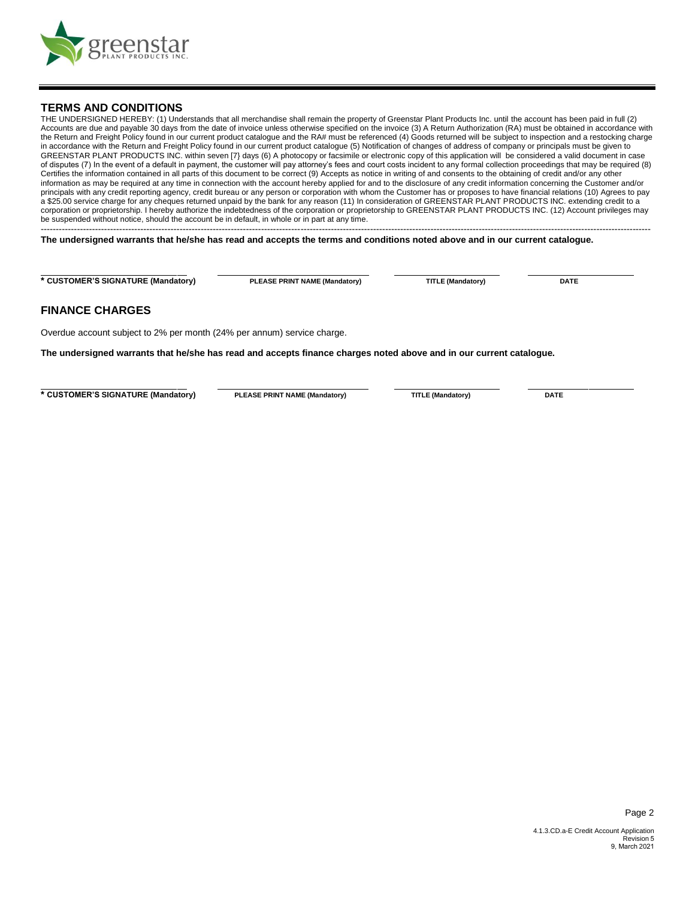

#### **TERMS AND CONDITIONS**

THE UNDERSIGNED HEREBY: (1) Understands that all merchandise shall remain the property of Greenstar Plant Products Inc. until the account has been paid in full (2) Accounts are due and payable 30 days from the date of invoice unless otherwise specified on the invoice (3) A Return Authorization (RA) must be obtained in accordance with the Return and Freight Policy found in our current product catalogue and the RA# must be referenced (4) Goods returned will be subject to inspection and a restocking charge in accordance with the Return and Freight Policy found in our current product catalogue (5) Notification of changes of address of company or principals must be given to GREENSTAR PLANT PRODUCTS INC. within seven [7} days (6) A photocopy or facsimile or electronic copy of this application will be considered a valid document in case of disputes (7) In the event of a default in payment, the customer will pay attorney's fees and court costs incident to any formal collection proceedings that may be required (8) Certifies the information contained in all parts of this document to be correct (9) Accepts as notice in writing of and consents to the obtaining of credit and/or any other information as may be required at any time in connection with the account hereby applied for and to the disclosure of any credit information concerning the Customer and/or principals with any credit reporting agency, credit bureau or any person or corporation with whom the Customer has or proposes to have financial relations (10) Agrees to pay a \$25.00 service charge for any cheques returned unpaid by the bank for any reason (11) In consideration of GREENSTAR PLANT PRODUCTS INC. extending credit to a corporation or proprietorship. I hereby authorize the indebtedness of the corporation or proprietorship to GREENSTAR PLANT PRODUCTS INC. (12) Account privileges may be suspended without notice, should the account be in default, in whole or in part at any time. ----------------------------------------------------------------------------------------------------------------------------------------------------------------------------------------------------------

**The undersigned warrants that he/she has read and accepts the terms and conditions noted above and in our current catalogue.** 

**\* CUSTOMER'S SIGNATURE (Mandatory) PLEASE PRINT NAME (Mandatory) TITLE (Mandatory) DATE** 

#### **FINANCE CHARGES**

Overdue account subject to 2% per month (24% per annum) service charge.

**The undersigned warrants that he/she has read and accepts finance charges noted above and in our current catalogue.** 

**\* CUSTOMER'S SIGNATURE (Mandatory) PLEASE PRINT NAME (Mandatory) TITLE (Mandatory) DATE** 

Page 2